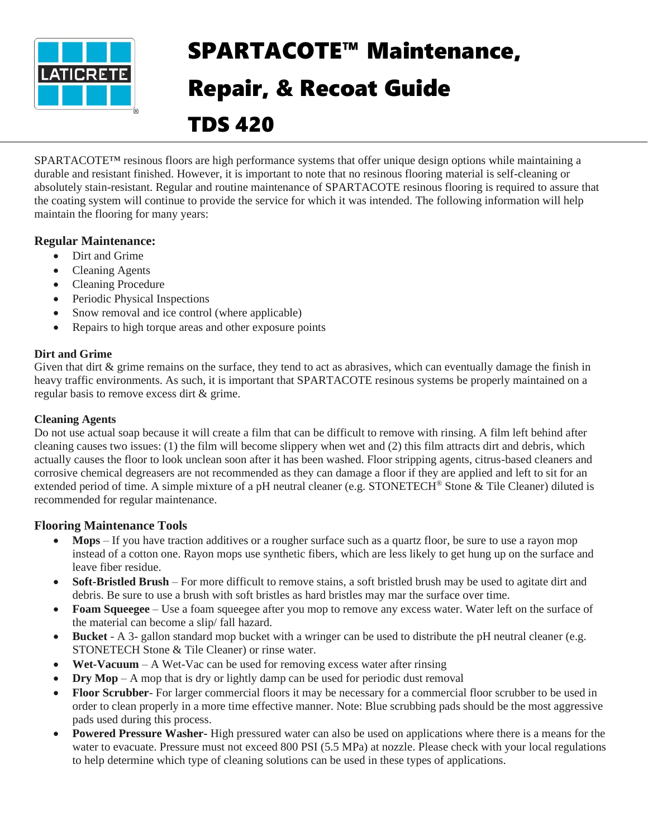

# SPARTACOTE™ Maintenance, Repair, & Recoat Guide TDS 420

SPARTACOTE™ resinous floors are high performance systems that offer unique design options while maintaining a durable and resistant finished. However, it is important to note that no resinous flooring material is self-cleaning or absolutely stain-resistant. Regular and routine maintenance of SPARTACOTE resinous flooring is required to assure that the coating system will continue to provide the service for which it was intended. The following information will help maintain the flooring for many years:

# **Regular Maintenance:**

- Dirt and Grime
- Cleaning Agents
- Cleaning Procedure
- Periodic Physical Inspections
- Snow removal and ice control (where applicable)
- Repairs to high torque areas and other exposure points

## **Dirt and Grime**

Given that dirt & grime remains on the surface, they tend to act as abrasives, which can eventually damage the finish in heavy traffic environments. As such, it is important that SPARTACOTE resinous systems be properly maintained on a regular basis to remove excess dirt & grime.

#### **Cleaning Agents**

Do not use actual soap because it will create a film that can be difficult to remove with rinsing. A film left behind after cleaning causes two issues: (1) the film will become slippery when wet and (2) this film attracts dirt and debris, which actually causes the floor to look unclean soon after it has been washed. Floor stripping agents, citrus-based cleaners and corrosive chemical degreasers are not recommended as they can damage a floor if they are applied and left to sit for an extended period of time. A simple mixture of a pH neutral cleaner (e.g. STONETECH® Stone & Tile Cleaner) diluted is recommended for regular maintenance.

## **Flooring Maintenance Tools**

- Mops If you have traction additives or a rougher surface such as a quartz floor, be sure to use a rayon mop instead of a cotton one. Rayon mops use synthetic fibers, which are less likely to get hung up on the surface and leave fiber residue.
- **Soft-Bristled Brush** For more difficult to remove stains, a soft bristled brush may be used to agitate dirt and debris. Be sure to use a brush with soft bristles as hard bristles may mar the surface over time.
- **Foam Squeegee** Use a foam squeegee after you mop to remove any excess water. Water left on the surface of the material can become a slip/ fall hazard.
- **Bucket**  A 3- gallon standard mop bucket with a wringer can be used to distribute the pH neutral cleaner (e.g. STONETECH Stone & Tile Cleaner) or rinse water.
- **Wet-Vacuum**  A Wet-Vac can be used for removing excess water after rinsing
- **Dry Mop** A mop that is dry or lightly damp can be used for periodic dust removal
- **Floor Scrubber** For larger commercial floors it may be necessary for a commercial floor scrubber to be used in order to clean properly in a more time effective manner. Note: Blue scrubbing pads should be the most aggressive pads used during this process.
- **Powered Pressure Washer-** High pressured water can also be used on applications where there is a means for the water to evacuate. Pressure must not exceed 800 PSI (5.5 MPa) at nozzle. Please check with your local regulations to help determine which type of cleaning solutions can be used in these types of applications.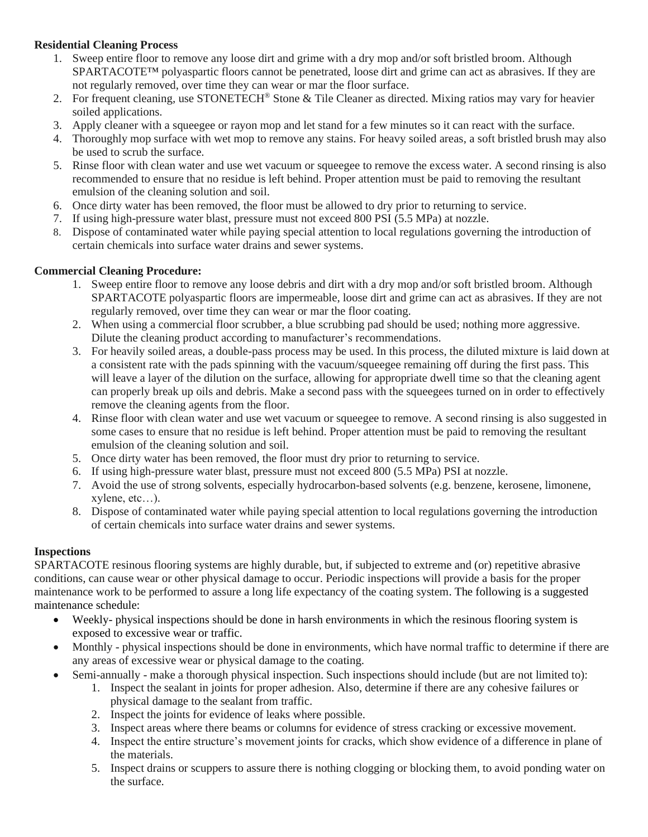## **Residential Cleaning Process**

- 1. Sweep entire floor to remove any loose dirt and grime with a dry mop and/or soft bristled broom. Although SPARTACOTE™ polyaspartic floors cannot be penetrated, loose dirt and grime can act as abrasives. If they are not regularly removed, over time they can wear or mar the floor surface.
- 2. For frequent cleaning, use STONETECH® Stone & Tile Cleaner as directed. Mixing ratios may vary for heavier soiled applications.
- 3. Apply cleaner with a squeegee or rayon mop and let stand for a few minutes so it can react with the surface.
- 4. Thoroughly mop surface with wet mop to remove any stains. For heavy soiled areas, a soft bristled brush may also be used to scrub the surface.
- 5. Rinse floor with clean water and use wet vacuum or squeegee to remove the excess water. A second rinsing is also recommended to ensure that no residue is left behind. Proper attention must be paid to removing the resultant emulsion of the cleaning solution and soil.
- 6. Once dirty water has been removed, the floor must be allowed to dry prior to returning to service.
- 7. If using high-pressure water blast, pressure must not exceed 800 PSI (5.5 MPa) at nozzle.
- 8. Dispose of contaminated water while paying special attention to local regulations governing the introduction of certain chemicals into surface water drains and sewer systems.

## **Commercial Cleaning Procedure:**

- 1. Sweep entire floor to remove any loose debris and dirt with a dry mop and/or soft bristled broom. Although SPARTACOTE polyaspartic floors are impermeable, loose dirt and grime can act as abrasives. If they are not regularly removed, over time they can wear or mar the floor coating.
- 2. When using a commercial floor scrubber, a blue scrubbing pad should be used; nothing more aggressive. Dilute the cleaning product according to manufacturer's recommendations.
- 3. For heavily soiled areas, a double-pass process may be used. In this process, the diluted mixture is laid down at a consistent rate with the pads spinning with the vacuum/squeegee remaining off during the first pass. This will leave a layer of the dilution on the surface, allowing for appropriate dwell time so that the cleaning agent can properly break up oils and debris. Make a second pass with the squeegees turned on in order to effectively remove the cleaning agents from the floor.
- 4. Rinse floor with clean water and use wet vacuum or squeegee to remove. A second rinsing is also suggested in some cases to ensure that no residue is left behind. Proper attention must be paid to removing the resultant emulsion of the cleaning solution and soil.
- 5. Once dirty water has been removed, the floor must dry prior to returning to service.
- 6. If using high-pressure water blast, pressure must not exceed 800 (5.5 MPa) PSI at nozzle.
- 7. Avoid the use of strong solvents, especially hydrocarbon-based solvents (e.g. benzene, kerosene, limonene, xylene, etc…).
- 8. Dispose of contaminated water while paying special attention to local regulations governing the introduction of certain chemicals into surface water drains and sewer systems.

#### **Inspections**

SPARTACOTE resinous flooring systems are highly durable, but, if subjected to extreme and (or) repetitive abrasive conditions, can cause wear or other physical damage to occur. Periodic inspections will provide a basis for the proper maintenance work to be performed to assure a long life expectancy of the coating system. The following is a suggested maintenance schedule:

- Weekly- physical inspections should be done in harsh environments in which the resinous flooring system is exposed to excessive wear or traffic.
- Monthly physical inspections should be done in environments, which have normal traffic to determine if there are any areas of excessive wear or physical damage to the coating.
- Semi-annually make a thorough physical inspection. Such inspections should include (but are not limited to):
	- 1. Inspect the sealant in joints for proper adhesion. Also, determine if there are any cohesive failures or physical damage to the sealant from traffic.
	- 2. Inspect the joints for evidence of leaks where possible.
	- 3. Inspect areas where there beams or columns for evidence of stress cracking or excessive movement.
	- 4. Inspect the entire structure's movement joints for cracks, which show evidence of a difference in plane of the materials.
	- 5. Inspect drains or scuppers to assure there is nothing clogging or blocking them, to avoid ponding water on the surface.